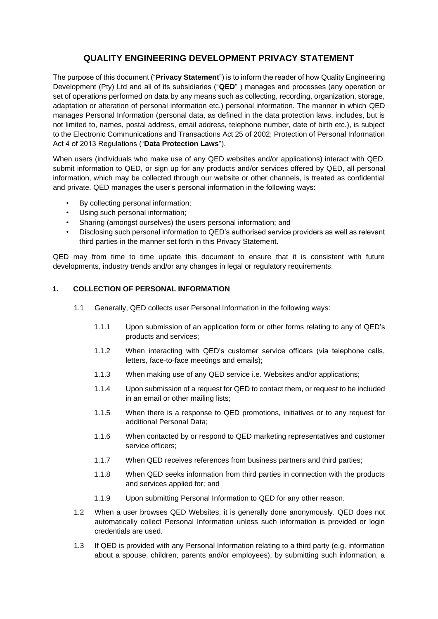# **QUALITY ENGINEERING DEVELOPMENT PRIVACY STATEMENT**

The purpose of this document ("**Privacy Statement**") is to inform the reader of how Quality Engineering Development (Pty) Ltd and all of its subsidiaries ("**QED**" ) manages and processes (any operation or set of operations performed on data by any means such as collecting, recording, organization, storage, adaptation or alteration of personal information etc.) personal information. The manner in which QED manages Personal Information (personal data, as defined in the data protection laws, includes, but is not limited to, names, postal address, email address, telephone number, date of birth etc.), is subject to the Electronic Communications and Transactions Act 25 of 2002; Protection of Personal Information Act 4 of 2013 Regulations ("**Data Protection Laws**").

When users (individuals who make use of any QED websites and/or applications) interact with QED, submit information to QED, or sign up for any products and/or services offered by QED, all personal information, which may be collected through our website or other channels, is treated as confidential and private. QED manages the user's personal information in the following ways:

- By collecting personal information;
- Using such personal information;
- Sharing (amongst ourselves) the users personal information; and
- Disclosing such personal information to QED's authorised service providers as well as relevant third parties in the manner set forth in this Privacy Statement.

QED may from time to time update this document to ensure that it is consistent with future developments, industry trends and/or any changes in legal or regulatory requirements.

### **1. COLLECTION OF PERSONAL INFORMATION**

- 1.1 Generally, QED collects user Personal Information in the following ways:
	- 1.1.1 Upon submission of an application form or other forms relating to any of QED's products and services;
	- 1.1.2 When interacting with QED's customer service officers (via telephone calls, letters, face-to-face meetings and emails);
	- 1.1.3 When making use of any QED service i.e. Websites and/or applications;
	- 1.1.4 Upon submission of a request for QED to contact them, or request to be included in an email or other mailing lists;
	- 1.1.5 When there is a response to QED promotions, initiatives or to any request for additional Personal Data;
	- 1.1.6 When contacted by or respond to QED marketing representatives and customer service officers;
	- 1.1.7 When QED receives references from business partners and third parties;
	- 1.1.8 When QED seeks information from third parties in connection with the products and services applied for; and
	- 1.1.9 Upon submitting Personal Information to QED for any other reason.
- 1.2 When a user browses QED Websites, it is generally done anonymously. QED does not automatically collect Personal Information unless such information is provided or login credentials are used.
- 1.3 If QED is provided with any Personal Information relating to a third party (e.g. information about a spouse, children, parents and/or employees), by submitting such information, a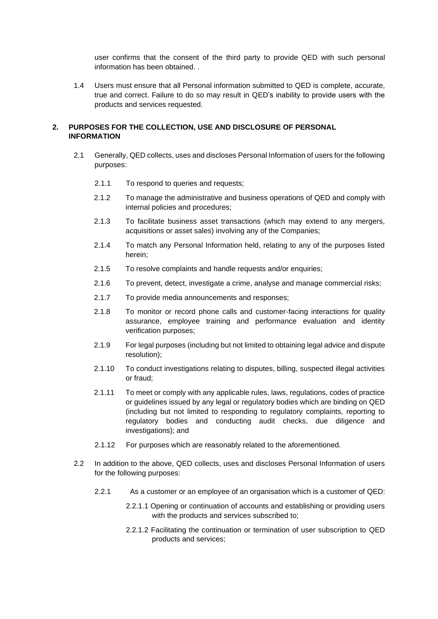user confirms that the consent of the third party to provide QED with such personal information has been obtained.

1.4 Users must ensure that all Personal information submitted to QED is complete, accurate, true and correct. Failure to do so may result in QED's inability to provide users with the products and services requested.

### **2. PURPOSES FOR THE COLLECTION, USE AND DISCLOSURE OF PERSONAL INFORMATION**

- 2.1 Generally, QED collects, uses and discloses Personal Information of users for the following purposes:
	- 2.1.1 To respond to queries and requests:
	- 2.1.2 To manage the administrative and business operations of QED and comply with internal policies and procedures;
	- 2.1.3 To facilitate business asset transactions (which may extend to any mergers, acquisitions or asset sales) involving any of the Companies;
	- 2.1.4 To match any Personal Information held, relating to any of the purposes listed herein;
	- 2.1.5 To resolve complaints and handle requests and/or enquiries;
	- 2.1.6 To prevent, detect, investigate a crime, analyse and manage commercial risks;
	- 2.1.7 To provide media announcements and responses;
	- 2.1.8 To monitor or record phone calls and customer-facing interactions for quality assurance, employee training and performance evaluation and identity verification purposes;
	- 2.1.9 For legal purposes (including but not limited to obtaining legal advice and dispute resolution);
	- 2.1.10 To conduct investigations relating to disputes, billing, suspected illegal activities or fraud;
	- 2.1.11 To meet or comply with any applicable rules, laws, regulations, codes of practice or guidelines issued by any legal or regulatory bodies which are binding on QED (including but not limited to responding to regulatory complaints, reporting to regulatory bodies and conducting audit checks, due diligence and investigations); and
	- 2.1.12 For purposes which are reasonably related to the aforementioned.
- 2.2 In addition to the above, QED collects, uses and discloses Personal Information of users for the following purposes:
	- 2.2.1 As a customer or an employee of an organisation which is a customer of QED:
		- 2.2.1.1 Opening or continuation of accounts and establishing or providing users with the products and services subscribed to;
		- 2.2.1.2 Facilitating the continuation or termination of user subscription to QED products and services;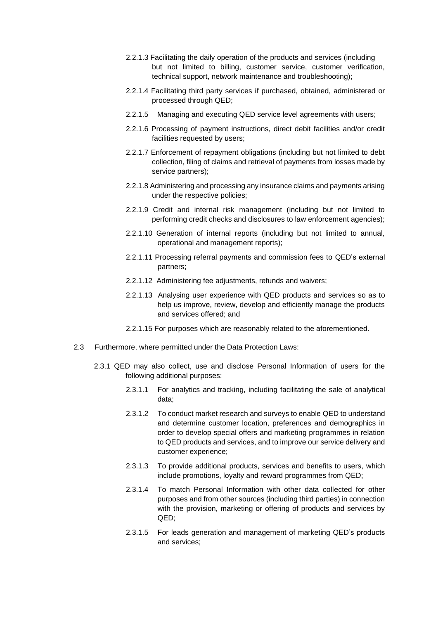- 2.2.1.3 Facilitating the daily operation of the products and services (including but not limited to billing, customer service, customer verification, technical support, network maintenance and troubleshooting);
- 2.2.1.4 Facilitating third party services if purchased, obtained, administered or processed through QED;
- 2.2.1.5 Managing and executing QED service level agreements with users;
- 2.2.1.6 Processing of payment instructions, direct debit facilities and/or credit facilities requested by users;
- 2.2.1.7 Enforcement of repayment obligations (including but not limited to debt collection, filing of claims and retrieval of payments from losses made by service partners);
- 2.2.1.8 Administering and processing any insurance claims and payments arising under the respective policies;
- 2.2.1.9 Credit and internal risk management (including but not limited to performing credit checks and disclosures to law enforcement agencies);
- 2.2.1.10 Generation of internal reports (including but not limited to annual, operational and management reports);
- 2.2.1.11 Processing referral payments and commission fees to QED's external partners;
- 2.2.1.12 Administering fee adjustments, refunds and waivers;
- 2.2.1.13 Analysing user experience with QED products and services so as to help us improve, review, develop and efficiently manage the products and services offered; and
- 2.2.1.15 For purposes which are reasonably related to the aforementioned.
- 2.3 Furthermore, where permitted under the Data Protection Laws:
	- 2.3.1 QED may also collect, use and disclose Personal Information of users for the following additional purposes:
		- 2.3.1.1 For analytics and tracking, including facilitating the sale of analytical data;
		- 2.3.1.2 To conduct market research and surveys to enable QED to understand and determine customer location, preferences and demographics in order to develop special offers and marketing programmes in relation to QED products and services, and to improve our service delivery and customer experience;
		- 2.3.1.3 To provide additional products, services and benefits to users, which include promotions, loyalty and reward programmes from QED;
		- 2.3.1.4 To match Personal Information with other data collected for other purposes and from other sources (including third parties) in connection with the provision, marketing or offering of products and services by QED;
		- 2.3.1.5 For leads generation and management of marketing QED's products and services;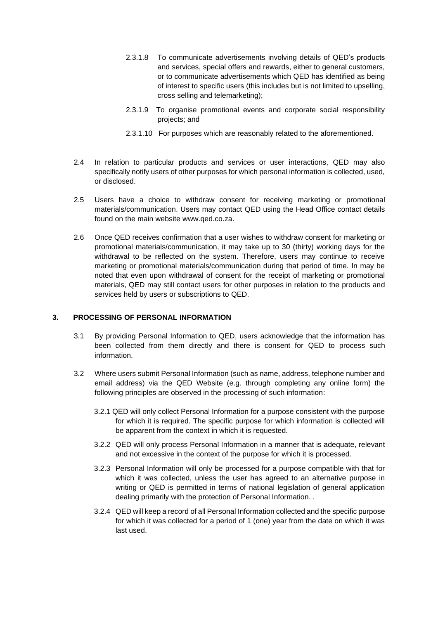- 2.3.1.8 To communicate advertisements involving details of QED's products and services, special offers and rewards, either to general customers, or to communicate advertisements which QED has identified as being of interest to specific users (this includes but is not limited to upselling, cross selling and telemarketing);
- 2.3.1.9 To organise promotional events and corporate social responsibility projects; and
- 2.3.1.10 For purposes which are reasonably related to the aforementioned.
- 2.4 In relation to particular products and services or user interactions, QED may also specifically notify users of other purposes for which personal information is collected, used, or disclosed.
- 2.5 Users have a choice to withdraw consent for receiving marketing or promotional materials/communication. Users may contact QED using the Head Office contact details found on the main website www.qed.co.za.
- 2.6 Once QED receives confirmation that a user wishes to withdraw consent for marketing or promotional materials/communication, it may take up to 30 (thirty) working days for the withdrawal to be reflected on the system. Therefore, users may continue to receive marketing or promotional materials/communication during that period of time. In may be noted that even upon withdrawal of consent for the receipt of marketing or promotional materials, QED may still contact users for other purposes in relation to the products and services held by users or subscriptions to QED.

### **3. PROCESSING OF PERSONAL INFORMATION**

- 3.1 By providing Personal Information to QED, users acknowledge that the information has been collected from them directly and there is consent for QED to process such information.
- 3.2 Where users submit Personal Information (such as name, address, telephone number and email address) via the QED Website (e.g. through completing any online form) the following principles are observed in the processing of such information:
	- 3.2.1 QED will only collect Personal Information for a purpose consistent with the purpose for which it is required. The specific purpose for which information is collected will be apparent from the context in which it is requested.
	- 3.2.2 QED will only process Personal Information in a manner that is adequate, relevant and not excessive in the context of the purpose for which it is processed.
	- 3.2.3 Personal Information will only be processed for a purpose compatible with that for which it was collected, unless the user has agreed to an alternative purpose in writing or QED is permitted in terms of national legislation of general application dealing primarily with the protection of Personal Information. .
	- 3.2.4 QED will keep a record of all Personal Information collected and the specific purpose for which it was collected for a period of 1 (one) year from the date on which it was last used.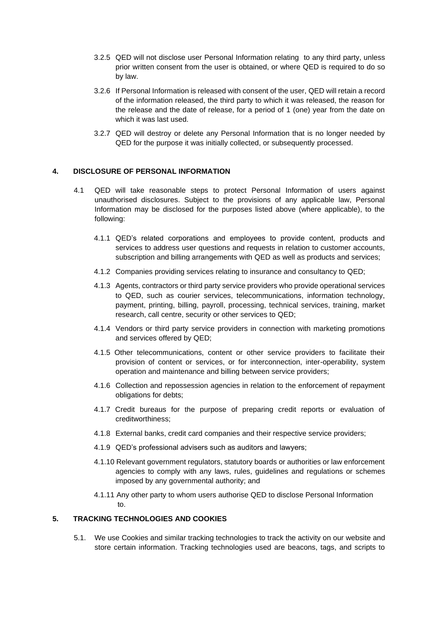- 3.2.5 QED will not disclose user Personal Information relating to any third party, unless prior written consent from the user is obtained, or where QED is required to do so by law.
- 3.2.6 If Personal Information is released with consent of the user, QED will retain a record of the information released, the third party to which it was released, the reason for the release and the date of release, for a period of 1 (one) year from the date on which it was last used.
- 3.2.7 QED will destroy or delete any Personal Information that is no longer needed by QED for the purpose it was initially collected, or subsequently processed.

#### **4. DISCLOSURE OF PERSONAL INFORMATION**

- 4.1 QED will take reasonable steps to protect Personal Information of users against unauthorised disclosures. Subject to the provisions of any applicable law, Personal Information may be disclosed for the purposes listed above (where applicable), to the following:
	- 4.1.1 QED's related corporations and employees to provide content, products and services to address user questions and requests in relation to customer accounts, subscription and billing arrangements with QED as well as products and services;
	- 4.1.2 Companies providing services relating to insurance and consultancy to QED;
	- 4.1.3 Agents, contractors or third party service providers who provide operational services to QED, such as courier services, telecommunications, information technology, payment, printing, billing, payroll, processing, technical services, training, market research, call centre, security or other services to QED;
	- 4.1.4 Vendors or third party service providers in connection with marketing promotions and services offered by QED;
	- 4.1.5 Other telecommunications, content or other service providers to facilitate their provision of content or services, or for interconnection, inter-operability, system operation and maintenance and billing between service providers;
	- 4.1.6 Collection and repossession agencies in relation to the enforcement of repayment obligations for debts;
	- 4.1.7 Credit bureaus for the purpose of preparing credit reports or evaluation of creditworthiness;
	- 4.1.8 External banks, credit card companies and their respective service providers;
	- 4.1.9 QED's professional advisers such as auditors and lawyers;
	- 4.1.10 Relevant government regulators, statutory boards or authorities or law enforcement agencies to comply with any laws, rules, guidelines and regulations or schemes imposed by any governmental authority; and
	- 4.1.11 Any other party to whom users authorise QED to disclose Personal Information to.

### **5. TRACKING TECHNOLOGIES AND COOKIES**

5.1. We use Cookies and similar tracking technologies to track the activity on our website and store certain information. Tracking technologies used are beacons, tags, and scripts to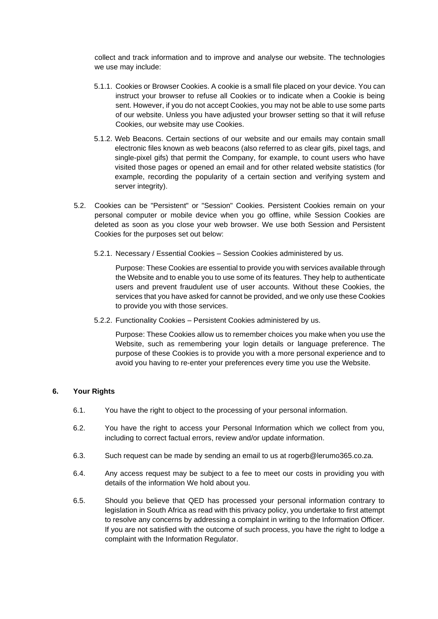collect and track information and to improve and analyse our website. The technologies we use may include:

- 5.1.1. Cookies or Browser Cookies. A cookie is a small file placed on your device. You can instruct your browser to refuse all Cookies or to indicate when a Cookie is being sent. However, if you do not accept Cookies, you may not be able to use some parts of our website. Unless you have adjusted your browser setting so that it will refuse Cookies, our website may use Cookies.
- 5.1.2. Web Beacons. Certain sections of our website and our emails may contain small electronic files known as web beacons (also referred to as clear gifs, pixel tags, and single-pixel gifs) that permit the Company, for example, to count users who have visited those pages or opened an email and for other related website statistics (for example, recording the popularity of a certain section and verifying system and server integrity).
- 5.2. Cookies can be "Persistent" or "Session" Cookies. Persistent Cookies remain on your personal computer or mobile device when you go offline, while Session Cookies are deleted as soon as you close your web browser. We use both Session and Persistent Cookies for the purposes set out below:
	- 5.2.1. Necessary / Essential Cookies Session Cookies administered by us.

Purpose: These Cookies are essential to provide you with services available through the Website and to enable you to use some of its features. They help to authenticate users and prevent fraudulent use of user accounts. Without these Cookies, the services that you have asked for cannot be provided, and we only use these Cookies to provide you with those services.

5.2.2. Functionality Cookies – Persistent Cookies administered by us.

Purpose: These Cookies allow us to remember choices you make when you use the Website, such as remembering your login details or language preference. The purpose of these Cookies is to provide you with a more personal experience and to avoid you having to re-enter your preferences every time you use the Website.

### **6. Your Rights**

- 6.1. You have the right to object to the processing of your personal information.
- 6.2. You have the right to access your Personal Information which we collect from you, including to correct factual errors, review and/or update information.
- 6.3. Such request can be made by sending an email to us at rogerb@lerumo365.co.za.
- 6.4. Any access request may be subject to a fee to meet our costs in providing you with details of the information We hold about you.
- 6.5. Should you believe that QED has processed your personal information contrary to legislation in South Africa as read with this privacy policy, you undertake to first attempt to resolve any concerns by addressing a complaint in writing to the Information Officer. If you are not satisfied with the outcome of such process, you have the right to lodge a complaint with the Information Regulator.